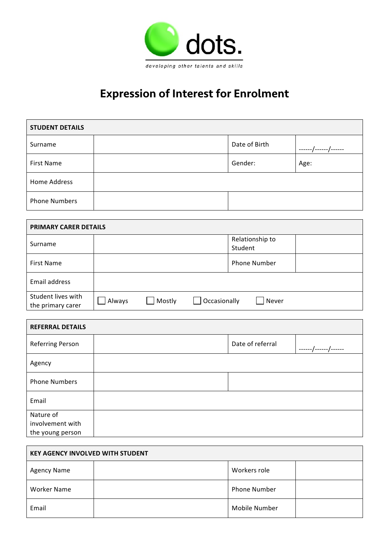

## Expression of Interest for Enrolment

| <b>STUDENT DETAILS</b> |  |               |      |  |  |
|------------------------|--|---------------|------|--|--|
| Surname                |  | Date of Birth |      |  |  |
| First Name             |  | Gender:       | Age: |  |  |
| Home Address           |  |               |      |  |  |
| <b>Phone Numbers</b>   |  |               |      |  |  |

| <b>PRIMARY CARER DETAILS</b>            |        |        |              |         |                 |  |
|-----------------------------------------|--------|--------|--------------|---------|-----------------|--|
| Surname                                 |        |        |              | Student | Relationship to |  |
| <b>First Name</b>                       |        |        |              |         | Phone Number    |  |
| Email address                           |        |        |              |         |                 |  |
| Student lives with<br>the primary carer | Always | Mostly | Occasionally |         | Never           |  |

| <b>REFERRAL DETAILS</b> |  |                  |  |  |  |
|-------------------------|--|------------------|--|--|--|
| Referring Person        |  | Date of referral |  |  |  |
| Agency                  |  |                  |  |  |  |
| <b>Phone Numbers</b>    |  |                  |  |  |  |
| Email                   |  |                  |  |  |  |
| Nature of               |  |                  |  |  |  |
| involvement with        |  |                  |  |  |  |
| the young person        |  |                  |  |  |  |

| <b>KEY AGENCY INVOLVED WITH STUDENT</b> |  |                     |  |  |  |
|-----------------------------------------|--|---------------------|--|--|--|
| <b>Agency Name</b>                      |  | Workers role        |  |  |  |
| Worker Name                             |  | <b>Phone Number</b> |  |  |  |
| Email                                   |  | Mobile Number       |  |  |  |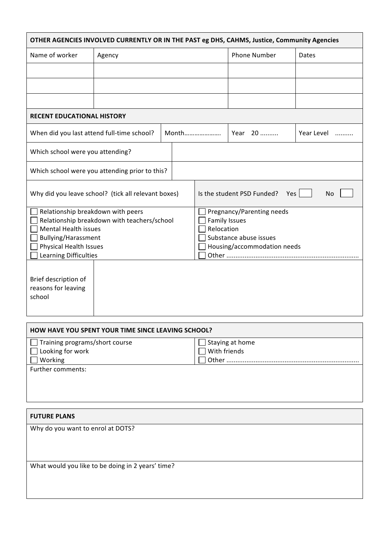| OTHER AGENCIES INVOLVED CURRENTLY OR IN THE PAST eg DHS, CAHMS, Justice, Community Agencies                                                                                               |        |                                                                                                                          |                                                  |            |  |
|-------------------------------------------------------------------------------------------------------------------------------------------------------------------------------------------|--------|--------------------------------------------------------------------------------------------------------------------------|--------------------------------------------------|------------|--|
| Name of worker                                                                                                                                                                            | Agency |                                                                                                                          | <b>Phone Number</b>                              | Dates      |  |
|                                                                                                                                                                                           |        |                                                                                                                          |                                                  |            |  |
|                                                                                                                                                                                           |        |                                                                                                                          |                                                  |            |  |
|                                                                                                                                                                                           |        |                                                                                                                          |                                                  |            |  |
| <b>RECENT EDUCATIONAL HISTORY</b>                                                                                                                                                         |        |                                                                                                                          |                                                  |            |  |
| When did you last attend full-time school?<br>Month                                                                                                                                       |        |                                                                                                                          | Year 20                                          | Year Level |  |
| Which school were you attending?                                                                                                                                                          |        |                                                                                                                          |                                                  |            |  |
| Which school were you attending prior to this?                                                                                                                                            |        |                                                                                                                          |                                                  |            |  |
| Why did you leave school? (tick all relevant boxes)                                                                                                                                       |        |                                                                                                                          | Is the student PSD Funded?<br>Yes  <br><b>No</b> |            |  |
| Relationship breakdown with peers<br>Relationship breakdown with teachers/school<br><b>Mental Health issues</b><br>Bullying/Harassment<br>Physical Health Issues<br>Learning Difficulties |        | Pregnancy/Parenting needs<br><b>Family Issues</b><br>Relocation<br>Substance abuse issues<br>Housing/accommodation needs |                                                  |            |  |
| Brief description of<br>reasons for leaving<br>school                                                                                                                                     |        |                                                                                                                          |                                                  |            |  |

| HOW HAVE YOU SPENT YOUR TIME SINCE LEAVING SCHOOL? |                 |  |  |  |
|----------------------------------------------------|-----------------|--|--|--|
| $\Box$ Training programs/short course              | Staying at home |  |  |  |
| Looking for work                                   | With friends    |  |  |  |
| Working                                            | Other           |  |  |  |
| Further comments:                                  |                 |  |  |  |
|                                                    |                 |  |  |  |

## **FUTURE PLANS**

Why do you want to enrol at DOTS?

What would you like to be doing in 2 years' time?